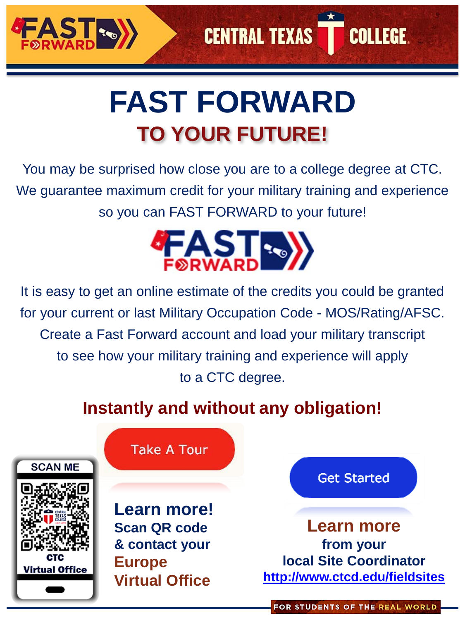

# **FAST FORWARD [TO YOUR FUTURE!](https://www.facebook.com/CTCEurope?ref=hl)**

**CENTRAL TEXAS** 

**COLLEGE.** 

You may be surprised how close you are to a college degree at CTC. We guarantee maximum credit for your military training and experience so you can FAST FORWARD to your future!



It is easy to get an online estimate of the credits you could be granted for your current or last Military Occupation Code - MOS/Rating/AFSC. Create a Fast Forward account and load your military transcript to see how your military training and experience will apply to a CTC degree.

## **Instantly and without any obligation!**